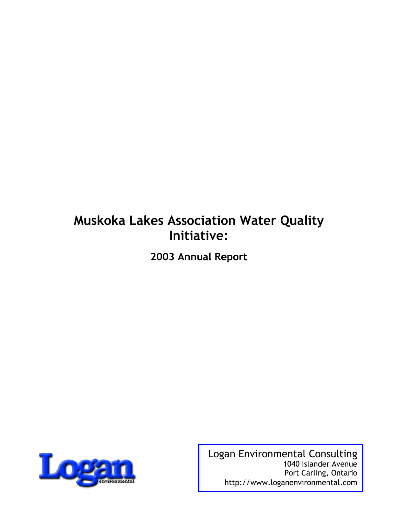## **Muskoka Lakes Association Water Quality Initiative:**

**2003 Annual Report**



Logan Environmental Consulting 1040 Islander Avenue Port Carling, Ontario http://www.loganenvironmental.com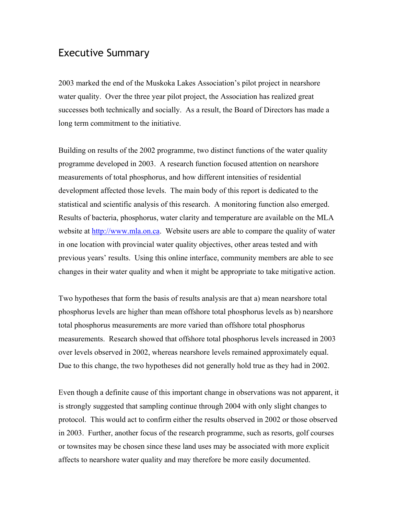## Executive Summary

2003 marked the end of the Muskoka Lakes Association's pilot project in nearshore water quality. Over the three year pilot project, the Association has realized great successes both technically and socially. As a result, the Board of Directors has made a long term commitment to the initiative.

Building on results of the 2002 programme, two distinct functions of the water quality programme developed in 2003. A research function focused attention on nearshore measurements of total phosphorus, and how different intensities of residential development affected those levels. The main body of this report is dedicated to the statistical and scientific analysis of this research. A monitoring function also emerged. Results of bacteria, phosphorus, water clarity and temperature are available on the MLA website at http://www.mla.on.ca. Website users are able to compare the quality of water in one location with provincial water quality objectives, other areas tested and with previous years' results. Using this online interface, community members are able to see changes in their water quality and when it might be appropriate to take mitigative action.

Two hypotheses that form the basis of results analysis are that a) mean nearshore total phosphorus levels are higher than mean offshore total phosphorus levels as b) nearshore total phosphorus measurements are more varied than offshore total phosphorus measurements. Research showed that offshore total phosphorus levels increased in 2003 over levels observed in 2002, whereas nearshore levels remained approximately equal. Due to this change, the two hypotheses did not generally hold true as they had in 2002.

Even though a definite cause of this important change in observations was not apparent, it is strongly suggested that sampling continue through 2004 with only slight changes to protocol. This would act to confirm either the results observed in 2002 or those observed in 2003. Further, another focus of the research programme, such as resorts, golf courses or townsites may be chosen since these land uses may be associated with more explicit affects to nearshore water quality and may therefore be more easily documented.